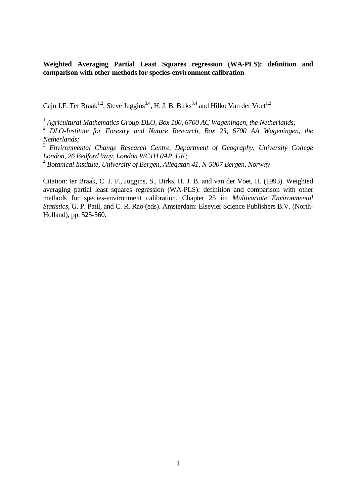**Weighted Averaging Partial Least Squares regression (WA-PLS): definition and comparison with other methods for species-environment calibration** 

Cajo J.F. Ter Braak<sup>1,2</sup>, Steve Juggins<sup>3,4</sup>, H. J. B. Birks<sup>3,4</sup> and Hilko Van der Voet<sup>1,2</sup>

<sup>1</sup> Agricultural Mathematics Group-DLO, Box 100, 6700 AC Wageningen, the Netherlands;

<sup>2</sup> DLO-Institute for Forestry and Nature Research, Box 23, 6700 AA Wageningen, the *Netherlands;*

<sup>3</sup> *Environmental Change Research Centre, Department of Geography, University College London, 26 Bedford Way, London WC1H 0AP, UK;*

<sup>4</sup> *Botanical Institute, University of Bergen, Allégatan 41, N-5007 Bergen, Norway* 

Citation: ter Braak, C. J. F., Juggins, S., Birks, H. J. B. and van der Voet, H. (1993). Weighted averaging partial least squares regression (WA-PLS): definition and comparison with other methods for species-environment calibration. Chapter 25 in: *Multivariate Environmental Statistics,* G. P. Patil, and C. R. Rao (eds). Amsterdam: Elsevier Science Publishers B.V. (North-Holland), pp. 525-560.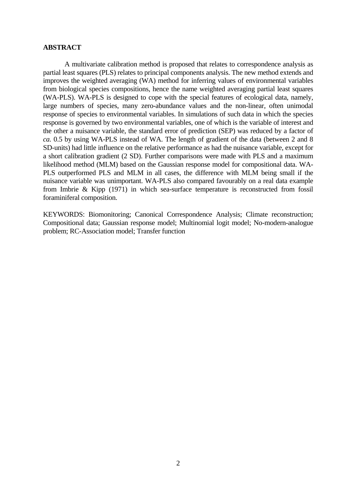### **ABSTRACT**

 A multivariate calibration method is proposed that relates to correspondence analysis as partial least squares (PLS) relates to principal components analysis. The new method extends and improves the weighted averaging (WA) method for inferring values of environmental variables from biological species compositions, hence the name weighted averaging partial least squares (WA-PLS). WA-PLS is designed to cope with the special features of ecological data, namely, large numbers of species, many zero-abundance values and the non-linear, often unimodal response of species to environmental variables. In simulations of such data in which the species response is governed by two environmental variables, one of which is the variable of interest and the other a nuisance variable, the standard error of prediction (SEP) was reduced by a factor of *ca.* 0.5 by using WA-PLS instead of WA. The length of gradient of the data (between 2 and 8 SD-units) had little influence on the relative performance as had the nuisance variable, except for a short calibration gradient (2 SD). Further comparisons were made with PLS and a maximum likelihood method (MLM) based on the Gaussian response model for compositional data. WA-PLS outperformed PLS and MLM in all cases, the difference with MLM being small if the nuisance variable was unimportant. WA-PLS also compared favourably on a real data example from Imbrie & Kipp (1971) in which sea-surface temperature is reconstructed from fossil foraminiferal composition.

KEYWORDS: Biomonitoring; Canonical Correspondence Analysis; Climate reconstruction; Compositional data; Gaussian response model; Multinomial logit model; No-modern-analogue problem; RC-Association model; Transfer function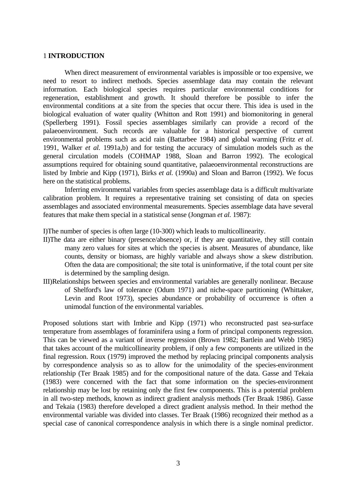# 1 **INTRODUCTION**

 When direct measurement of environmental variables is impossible or too expensive, we need to resort to indirect methods. Species assemblage data may contain the relevant information. Each biological species requires particular environmental conditions for regeneration, establishment and growth. It should therefore be possible to infer the environmental conditions at a site from the species that occur there. This idea is used in the biological evaluation of water quality (Whitton and Rott 1991) and biomonitoring in general (Spellerberg 1991). Fossil species assemblages similarly can provide a record of the palaeoenvironment. Such records are valuable for a historical perspective of current environmental problems such as acid rain (Battarbee 1984) and global warming (Fritz *et al.* 1991, Walker *et al.* 1991a,b) and for testing the accuracy of simulation models such as the general circulation models (COHMAP 1988, Sloan and Barron 1992). The ecological assumptions required for obtaining sound quantitative, palaeoenvironmental reconstructions are listed by Imbrie and Kipp (1971), Birks *et al.* (1990a) and Sloan and Barron (1992). We focus here on the statistical problems.

 Inferring environmental variables from species assemblage data is a difficult multivariate calibration problem. It requires a representative training set consisting of data on species assemblages and associated environmental measurements. Species assemblage data have several features that make them special in a statistical sense (Jongman *et al.* 1987):

I)The number of species is often large (10-300) which leads to multicollinearity.

- II)The data are either binary (presence/absence) or, if they are quantitative, they still contain many zero values for sites at which the species is absent. Measures of abundance, like counts, density or biomass, are highly variable and always show a skew distribution. Often the data are compositional; the site total is uninformative, if the total count per site is determined by the sampling design.
- III)Relationships between species and environmental variables are generally nonlinear. Because of Shelford's law of tolerance (Odum 1971) and niche-space partitioning (Whittaker, Levin and Root 1973), species abundance or probability of occurrence is often a unimodal function of the environmental variables.

Proposed solutions start with Imbrie and Kipp (1971) who reconstructed past sea-surface temperature from assemblages of foraminifera using a form of principal components regression. This can be viewed as a variant of inverse regression (Brown 1982; Bartlein and Webb 1985) that takes account of the multicollinearity problem, if only a few components are utilized in the final regression. Roux (1979) improved the method by replacing principal components analysis by correspondence analysis so as to allow for the unimodality of the species-environment relationship (Ter Braak 1985) and for the compositional nature of the data. Gasse and Tekaia (1983) were concerned with the fact that some information on the species-environment relationship may be lost by retaining only the first few components. This is a potential problem in all two-step methods, known as indirect gradient analysis methods (Ter Braak 1986). Gasse and Tekaia (1983) therefore developed a direct gradient analysis method. In their method the environmental variable was divided into classes. Ter Braak (1986) recognized their method as a special case of canonical correspondence analysis in which there is a single nominal predictor.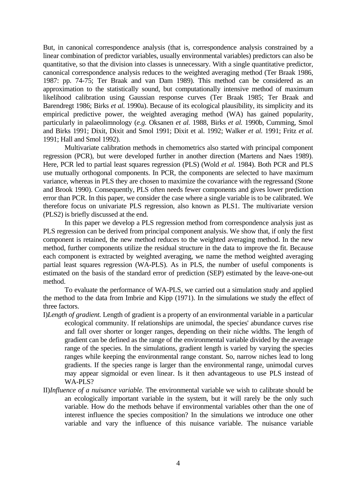But, in canonical correspondence analysis (that is, correspondence analysis constrained by a linear combination of predictor variables, usually environmental variables) predictors can also be quantitative, so that the division into classes is unnecessary. With a single quantitative predictor, canonical correspondence analysis reduces to the weighted averaging method (Ter Braak 1986, 1987: pp. 74-75; Ter Braak and van Dam 1989). This method can be considered as an approximation to the statistically sound, but computationally intensive method of maximum likelihood calibration using Gaussian response curves (Ter Braak 1985; Ter Braak and Barendregt 1986; Birks *et al.* 1990a). Because of its ecological plausibility, its simplicity and its empirical predictive power, the weighted averaging method (WA) has gained popularity, particularly in palaeolimnology (*e.g.* Oksanen *et al.* 1988, Birks *et al.* 1990b, Cumming, Smol and Birks 1991; Dixit, Dixit and Smol 1991; Dixit et al. 1992; Walker *et al.* 1991; Fritz *et al.* 1991; Hall and Smol 1992).

 Multivariate calibration methods in chemometrics also started with principal component regression (PCR), but were developed further in another direction (Martens and Naes 1989). Here, PCR led to partial least squares regression (PLS) (Wold *et al.* 1984). Both PCR and PLS use mutually orthogonal components. In PCR, the components are selected to have maximum variance, whereas in PLS they are chosen to maximize the covariance with the regressand (Stone and Brook 1990). Consequently, PLS often needs fewer components and gives lower prediction error than PCR. In this paper, we consider the case where a single variable is to be calibrated. We therefore focus on univariate PLS regression, also known as PLS1. The multivariate version (PLS2) is briefly discussed at the end.

 In this paper we develop a PLS regression method from correspondence analysis just as PLS regression can be derived from principal component analysis. We show that, if only the first component is retained, the new method reduces to the weighted averaging method. In the new method, further components utilize the residual structure in the data to improve the fit. Because each component is extracted by weighted averaging, we name the method weighted averaging partial least squares regression (WA-PLS). As in PLS, the number of useful components is estimated on the basis of the standard error of prediction (SEP) estimated by the leave-one-out method.

 To evaluate the performance of WA-PLS, we carried out a simulation study and applied the method to the data from Imbrie and Kipp (1971). In the simulations we study the effect of three factors.

- I)*Length of gradient.* Length of gradient is a property of an environmental variable in a particular ecological community. If relationships are unimodal, the species' abundance curves rise and fall over shorter or longer ranges, depending on their niche widths. The length of gradient can be defined as the range of the environmental variable divided by the average range of the species. In the simulations, gradient length is varied by varying the species ranges while keeping the environmental range constant. So, narrow niches lead to long gradients. If the species range is larger than the environmental range, unimodal curves may appear sigmoidal or even linear. Is it then advantageous to use PLS instead of WA-PLS?
- II)*Influence of a nuisance variable.* The environmental variable we wish to calibrate should be an ecologically important variable in the system, but it will rarely be the only such variable. How do the methods behave if environmental variables other than the one of interest influence the species composition? In the simulations we introduce one other variable and vary the influence of this nuisance variable. The nuisance variable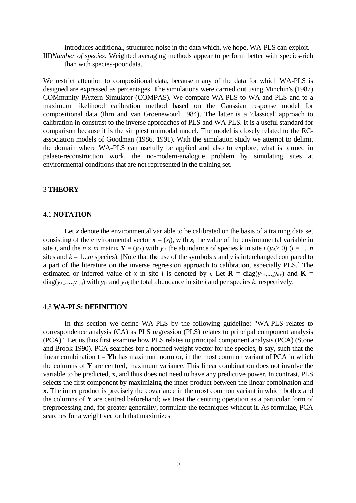introduces additional, structured noise in the data which, we hope, WA-PLS can exploit. III)*Number of species.* Weighted averaging methods appear to perform better with species-rich than with species-poor data.

We restrict attention to compositional data, because many of the data for which WA-PLS is designed are expressed as percentages. The simulations were carried out using Minchin's (1987) COMmunity PAttern Simulator (COMPAS). We compare WA-PLS to WA and PLS and to a maximum likelihood calibration method based on the Gaussian response model for compositional data (Ihm and van Groenewoud 1984). The latter is a 'classical' approach to calibration in constrast to the inverse approaches of PLS and WA-PLS. It is a useful standard for comparison because it is the simplest unimodal model. The model is closely related to the RCassociation models of Goodman (1986, 1991). With the simulation study we attempt to delimit the domain where WA-PLS can usefully be applied and also to explore, what is termed in palaeo-reconstruction work, the no-modern-analogue problem by simulating sites at environmental conditions that are not represented in the training set.

# 3 **THEORY**

# 4.1 **NOTATION**

Let  $x$  denote the environmental variable to be calibrated on the basis of a training data set consisting of the environmental vector  $\mathbf{x} = (x_i)$ , with  $x_i$  the value of the environmental variable in site *i*, and the  $n \times m$  matrix  $\mathbf{Y} = (y_{ik})$  with  $y_{ik}$  the abundance of species *k* in site *i*  $(y_{ik} \ge 0)$  (*i* = 1...*n* sites and  $k = 1...m$  species). [Note that the use of the symbols x and y is interchanged compared to a part of the literature on the inverse regression approach to calibration, especially PLS.] The estimated or inferred value of *x* in site *i* is denoted by *i*. Let **R** = diag( $y_1$ ,..., $y_n$ ) and **K** =  $diag(y_{+1},...,y_{+m})$  with  $y_{i+}$  and  $y_{+k}$  the total abundance in site *i* and per species *k*, respectively.

### 4.3 **WA-PLS: DEFINITION**

 In this section we define WA-PLS by the following guideline: "WA-PLS relates to correspondence analysis (CA) as PLS regression (PLS) relates to principal component analysis (PCA)". Let us thus first examine how PLS relates to principal component analysis (PCA) (Stone and Brook 1990). PCA searches for a normed weight vector for the species, **b** say, such that the linear combination  $t = Yb$  has maximum norm or, in the most common variant of PCA in which the columns of **Y** are centred, maximum variance. This linear combination does not involve the variable to be predicted, **x**, and thus does not need to have any predictive power. In contrast, PLS selects the first component by maximizing the inner product between the linear combination and **x**. The inner product is precisely the covariance in the most common variant in which both **x** and the columns of **Y** are centred beforehand; we treat the centring operation as a particular form of preprocessing and, for greater generality, formulate the techniques without it. As formulae, PCA searches for a weight vector **b** that maximizes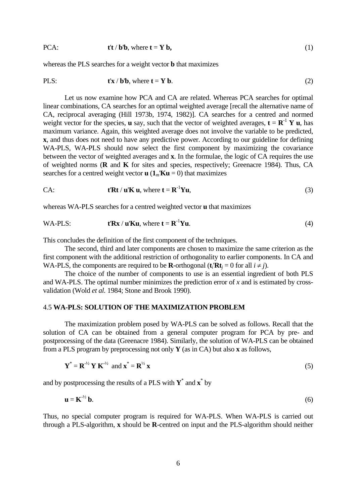PCA: 
$$
\mathbf{t} \cdot \mathbf{t} \cdot \mathbf{b} \cdot \mathbf{b}
$$
, where  $\mathbf{t} = \mathbf{Y} \cdot \mathbf{b}$ , (1)

whereas the PLS searches for a weight vector **b** that maximizes

$$
\text{PLS:} \quad \mathbf{t}'\mathbf{x} / \mathbf{b}'\mathbf{b}, \text{ where } \mathbf{t} = \mathbf{Y} \mathbf{b}. \tag{2}
$$

 Let us now examine how PCA and CA are related. Whereas PCA searches for optimal linear combinations, CA searches for an optimal weighted average [recall the alternative name of CA, reciprocal averaging (Hill 1973b, 1974, 1982)]. CA searches for a centred and normed weight vector for the species, **u** say, such that the vector of weighted averages,  $\mathbf{t} = \mathbf{R}^{-1} \mathbf{Y} \mathbf{u}$ , has maximum variance. Again, this weighted average does not involve the variable to be predicted, **x**, and thus does not need to have any predictive power. According to our guideline for defining WA-PLS, WA-PLS should now select the first component by maximizing the covariance between the vector of weighted averages and **x**. In the formulae, the logic of CA requires the use of weighted norms (**R** and **K** for sites and species, respectively; Greenacre 1984). Thus, CA searches for a centred weight vector  $\mathbf{u}$  ( $\mathbf{1}_m\mathbf{K}\mathbf{u} = 0$ ) that maximizes

CA: 
$$
\mathbf{t}^{\prime} \mathbf{R} \mathbf{t} / \mathbf{u}^{\prime} \mathbf{K} \mathbf{u}, \text{ where } \mathbf{t} = \mathbf{R}^{-1} \mathbf{Y} \mathbf{u},
$$
 (3)

whereas WA-PLS searches for a centred weighted vector **u** that maximizes

WA-PLS: 
$$
t'Rx / u'Ku
$$
, where  $t = R^{-1}Yu$ . (4)

This concludes the definition of the first component of the techniques.

 The second, third and later components are chosen to maximize the same criterion as the first component with the additional restriction of orthogonality to earlier components. In CA and WA-PLS, the components are required to be **R**-orthogonal ( $\mathbf{t}_i \mathbf{R} \mathbf{t}_i = 0$  for all  $i \neq j$ ).

 The choice of the number of components to use is an essential ingredient of both PLS and WA-PLS. The optimal number minimizes the prediction error of *x* and is estimated by crossvalidation (Wold *et al.* 1984; Stone and Brook 1990).

# 4.5 **WA-PLS: SOLUTION OF THE MAXIMIZATION PROBLEM**

 The maximization problem posed by WA-PLS can be solved as follows. Recall that the solution of CA can be obtained from a general computer program for PCA by pre- and postprocessing of the data (Greenacre 1984). Similarly, the solution of WA-PLS can be obtained from a PLS program by preprocessing not only **Y** (as in CA) but also **x** as follows,

$$
\mathbf{Y}^* = \mathbf{R}^{1/2} \mathbf{Y} \mathbf{K}^{1/2} \text{ and } \mathbf{x}^* = \mathbf{R}^{1/2} \mathbf{x}
$$
 (5)

and by postprocessing the results of a PLS with **Y**\* and **x**\* by

$$
\mathbf{u} = \mathbf{K}^{\frac{1}{2}} \mathbf{b}.\tag{6}
$$

Thus, no special computer program is required for WA-PLS. When WA-PLS is carried out through a PLS-algorithm, **x** should be **R**-centred on input and the PLS-algorithm should neither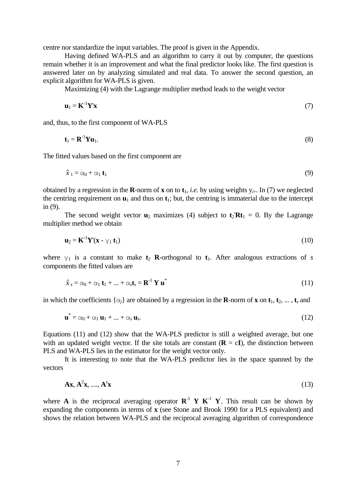centre nor standardize the input variables. The proof is given in the Appendix.

 Having defined WA-PLS and an algorithm to carry it out by computer, the questions remain whether it is an improvement and what the final predictor looks like. The first question is answered later on by analyzing simulated and real data. To answer the second question, an explicit algorithm for WA-PLS is given.

Maximizing (4) with the Lagrange multiplier method leads to the weight vector

$$
\mathbf{u}_1 = \mathbf{K}^{-1} \mathbf{Y}' \mathbf{x} \tag{7}
$$

and, thus, to the first component of WA-PLS

$$
\mathbf{t}_1 = \mathbf{R}^{-1} \mathbf{Y} \mathbf{u}_1. \tag{8}
$$

The fitted values based on the first component are

$$
\hat{x}_1 = \alpha_0 + \alpha_1 \mathbf{t}_1 \tag{9}
$$

obtained by a regression in the **R**-norm of **x** on to  $t_1$ , *i.e.* by using weights  $y_{i+}$ . In (7) we neglected the centring requirement on  $\mathbf{u}_1$  and thus on  $\mathbf{t}_1$ ; but, the centring is immaterial due to the intercept in (9).

The second weight vector  $\mathbf{u}_2$  maximizes (4) subject to  $\mathbf{t}_2 \mathbf{R} \mathbf{t}_1 = 0$ . By the Lagrange multiplier method we obtain

$$
\mathbf{u}_2 = \mathbf{K}^{-1} \mathbf{Y}' (\mathbf{x} - \gamma_1 \, \mathbf{t}_1) \tag{10}
$$

where  $y_1$  is a constant to make  $t_2$  **R**-orthogonal to  $t_1$ . After analogous extractions of *s* components the fitted values are

$$
\hat{x}_s = \alpha_0 + \alpha_1 \mathbf{t}_1 + \dots + \alpha_s \mathbf{t}_s = \mathbf{R}^{-1} \mathbf{Y} \mathbf{u}^*
$$
\n(11)

in which the coefficients  $\{\alpha_i\}$  are obtained by a regression in the **R**-norm of **x** on  $\mathbf{t}_1$ ,  $\mathbf{t}_2$ , ...,  $\mathbf{t}_s$  and

$$
\mathbf{u}^* = \alpha_0 + \alpha_1 \mathbf{u}_1 + \ldots + \alpha_s \mathbf{u}_s. \tag{12}
$$

Equations (11) and (12) show that the WA-PLS predictor is still a weighted average, but one with an updated weight vector. If the site totals are constant  $(\mathbf{R} = c\mathbf{I})$ , the distinction between PLS and WA-PLS lies in the estimator for the weight vector only.

 It is interesting to note that the WA-PLS predictor lies in the space spanned by the vectors

$$
\mathbf{A}\mathbf{x}, \mathbf{A}^2\mathbf{x}, \dots, \mathbf{A}^s\mathbf{x} \tag{13}
$$

where **A** is the reciprocal averaging operator  $\mathbb{R}^{-1}$  **Y**  $\mathbb{K}^{-1}$  **Y**<sup>'</sup>. This result can be shown by expanding the components in terms of **x** (see Stone and Brook 1990 for a PLS equivalent) and shows the relation between WA-PLS and the reciprocal averaging algorithm of correspondence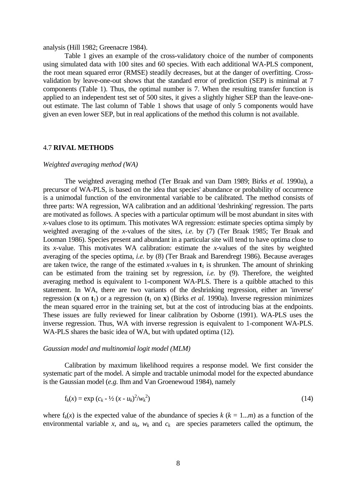### analysis (Hill 1982; Greenacre 1984).

 Table 1 gives an example of the cross-validatory choice of the number of components using simulated data with 100 sites and 60 species. With each additional WA-PLS component, the root mean squared error (RMSE) steadily decreases, but at the danger of overfitting. Crossvalidation by leave-one-out shows that the standard error of prediction (SEP) is minimal at 7 components (Table 1). Thus, the optimal number is 7. When the resulting transfer function is applied to an independent test set of 500 sites, it gives a slightly higher SEP than the leave-oneout estimate. The last column of Table 1 shows that usage of only 5 components would have given an even lower SEP, but in real applications of the method this column is not available.

# 4.7 **RIVAL METHODS**

#### *Weighted averaging method (WA)*

 The weighted averaging method (Ter Braak and van Dam 1989; Birks *et al.* 1990a), a precursor of WA-PLS, is based on the idea that species' abundance or probability of occurrence is a unimodal function of the environmental variable to be calibrated. The method consists of three parts: WA regression, WA calibration and an additional 'deshrinking' regression. The parts are motivated as follows. A species with a particular optimum will be most abundant in sites with *x*-values close to its optimum. This motivates WA regression: estimate species optima simply by weighted averaging of the *x*-values of the sites, *i.e.* by (7) (Ter Braak 1985; Ter Braak and Looman 1986). Species present and abundant in a particular site will tend to have optima close to its *x*-value. This motivates WA calibration: estimate the *x*-values of the sites by weighted averaging of the species optima, *i.e.* by (8) (Ter Braak and Barendregt 1986). Because averages are taken twice, the range of the estimated *x*-values in  $t_1$  is shrunken. The amount of shrinking can be estimated from the training set by regression, *i.e.* by (9). Therefore, the weighted averaging method is equivalent to 1-component WA-PLS. There is a quibble attached to this statement. In WA, there are two variants of the deshrinking regression, either an 'inverse' regression (**x** on **t**<sub>1</sub>) or a regression (**t**<sub>1</sub> on **x**) (Birks *et al.* 1990a). Inverse regression minimizes the mean squared error in the training set, but at the cost of introducing bias at the endpoints. These issues are fully reviewed for linear calibration by Osborne (1991). WA-PLS uses the inverse regression. Thus, WA with inverse regression is equivalent to 1-component WA-PLS. WA-PLS shares the basic idea of WA, but with updated optima (12).

### *Gaussian model and multinomial logit model (MLM)*

 Calibration by maximum likelihood requires a response model. We first consider the systematic part of the model. A simple and tractable unimodal model for the expected abundance is the Gaussian model (*e.g.* Ihm and Van Groenewoud 1984), namely

$$
f_k(x) = \exp\left(c_k - \frac{1}{2}(x - u_k)^2 / w_k^2\right)
$$
 (14)

where  $f_k(x)$  is the expected value of the abundance of species  $k (k = 1...m)$  as a function of the environmental variable *x*, and  $u_k$ ,  $w_k$  and  $c_k$  are species parameters called the optimum, the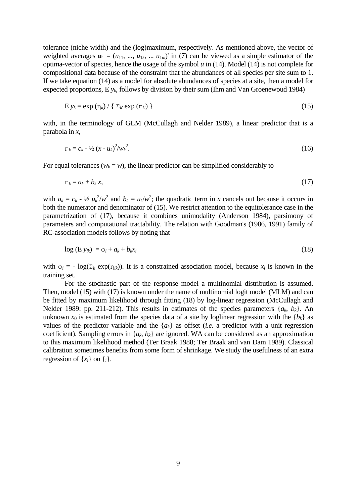tolerance (niche width) and the (log)maximum, respectively. As mentioned above, the vector of weighted averages  $\mathbf{u}_1 = (u_{11}, ..., u_{1k}, ..., u_{1m})'$  in (7) can be viewed as a simple estimator of the optima-vector of species, hence the usage of the symbol *u* in (14). Model (14) is not complete for compositional data because of the constraint that the abundances of all species per site sum to 1. If we take equation (14) as a model for absolute abundances of species at a site, then a model for expected proportions, E *yk*, follows by division by their sum (Ihm and Van Groenewoud 1984)

$$
E y_k = \exp(\eta_k) / \{ \Sigma_k \exp(\eta_k) \}
$$
 (15)

with, in the terminology of GLM (McCullagh and Nelder 1989), a linear predictor that is a parabola in *x*,

$$
\eta_k = c_k - \frac{1}{2} (x - u_k)^2 / w_k^2. \tag{16}
$$

For equal tolerances ( $w_k = w$ ), the linear predictor can be simplified considerably to

$$
\eta_k = a_k + b_k x,\tag{17}
$$

with  $a_k = c_k - \frac{1}{2} u_k^2/w^2$  and  $b_k = u_k/w^2$ ; the quadratic term in *x* cancels out because it occurs in both the numerator and denominator of (15). We restrict attention to the equitolerance case in the parametrization of (17), because it combines unimodality (Anderson 1984), parsimony of parameters and computational tractability. The relation with Goodman's (1986, 1991) family of RC-association models follows by noting that

$$
\log\left(\mathbf{E}\,\mathbf{y}_{ik}\right) = \varphi_i + a_k + b_k x_i \tag{18}
$$

with  $\varphi_i = -\log(\Sigma_k \exp(\eta_{ik}))$ . It is a constrained association model, because  $x_i$  is known in the training set.

 For the stochastic part of the response model a multinomial distribution is assumed. Then, model (15) with (17) is known under the name of multinomial logit model (MLM) and can be fitted by maximum likelihood through fitting (18) by log-linear regression (McCullagh and Nelder 1989: pp. 211-212). This results in estimates of the species parameters  $\{a_k, b_k\}$ . An unknown  $x_0$  is estimated from the species data of a site by loglinear regression with the  ${b_k}$  as values of the predictor variable and the  $\{a_k\}$  as offset *(i.e.* a predictor with a unit regression coefficient). Sampling errors in  $\{a_k, b_k\}$  are ignored. WA can be considered as an approximation to this maximum likelihood method (Ter Braak 1988; Ter Braak and van Dam 1989). Classical calibration sometimes benefits from some form of shrinkage. We study the usefulness of an extra regression of  $\{x_i\}$  on  $\{i\}$ .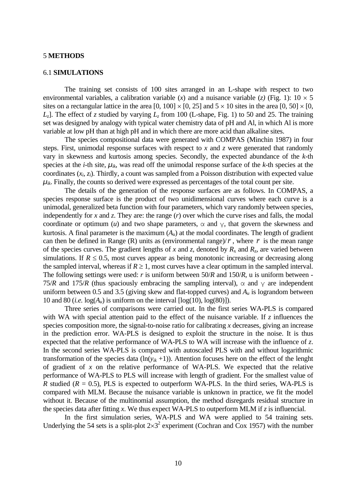# 5 **METHODS**

### 6.1 **SIMULATIONS**

 The training set consists of 100 sites arranged in an L-shape with respect to two environmental variables, a calibration variable (*x*) and a nuisance variable (*z*) (Fig. 1):  $10 \times 5$ sites on a rectangular lattice in the area  $[0, 100] \times [0, 25]$  and  $5 \times 10$  sites in the area  $[0, 50] \times [0, 100]$  $L_7$ ]. The effect of *z* studied by varying  $L_7$  from 100 (L-shape, Fig. 1) to 50 and 25. The training set was designed by analogy with typical water chemistry data of pH and Al, in which Al is more variable at low pH than at high pH and in which there are more acid than alkaline sites.

 The species compositional data were generated with COMPAS (Minchin 1987) in four steps. First, unimodal response surfaces with respect to *x* and *z* were generated that randomly vary in skewness and kurtosis among species. Secondly, the expected abundance of the *k*-th species at the *i*-th site,  $\mu_{ik}$ , was read off the unimodal response surface of the *k*-th species at the coordinates (*xi*, *zi*). Thirdly, a count was sampled from a Poisson distribution with expected value  $\mu_{ik}$ . Finally, the counts so derived were expressed as percentages of the total count per site.

 The details of the generation of the response surfaces are as follows. In COMPAS, a species response surface is the product of two unidimensional curves where each curve is a unimodal, generalized beta function with four parameters, which vary randomly between species, independently for *x* and *z*. They are: the range (*r*) over which the curve rises and falls, the modal coordinate or optimum (*u*) and two shape parameters,  $\alpha$  and  $\gamma$ , that govern the skewness and kurtosis. A final parameter is the maximum  $(A<sub>u</sub>)$  at the modal coordinates. The length of gradient can then be defined in Range (R) units as (environmental range)/ $\bar{r}$ , where  $\bar{r}$  is the mean range of the species curves. The gradient lengths of x and z, denoted by  $R_x$  and  $R_z$ , are varied between simulations. If  $R \leq 0.5$ , most curves appear as being monotonic increasing or decreasing along the sampled interval, whereas if  $R \ge 1$ , most curves have a clear optimum in the sampled interval. The following settings were used: *r* is uniform between 50/*R* and 150/*R*, u is uniform between - 75/*R* and 175/*R* (thus spaciously embracing the sampling interval),  $\alpha$  and  $\gamma$  are independent uniform between 0.5 and 3.5 (giving skew and flat-topped curves) and *Au* is lograndom between 10 and 80 (*i.e.*  $log(A_u)$  is uniform on the interval  $[log(10), log(80)]$ ).

 Three series of comparisons were carried out. In the first series WA-PLS is compared with WA with special attention paid to the effect of the nuisance variable. If *z* influences the species composition more, the signal-to-noise ratio for calibrating *x* decreases, giving an increase in the prediction error. WA-PLS is designed to exploit the structure in the noise. It is thus expected that the relative performance of WA-PLS to WA will increase with the influence of *z*. In the second series WA-PLS is compared with autoscaled PLS with and without logarithmic transformation of the species data  $(ln(y_{ik} + 1))$ . Attention focuses here on the effect of the lenght of gradient of *x* on the relative performance of WA-PLS. We expected that the relative performance of WA-PLS to PLS will increase with length of gradient. For the smallest value of *R* studied ( $R = 0.5$ ), PLS is expected to outperform WA-PLS. In the third series, WA-PLS is compared with MLM. Because the nuisance variable is unknown in practice, we fit the model without it. Because of the multinomial assumption, the method disregards residual structure in the species data after fitting *x*. We thus expect WA-PLS to outperform MLM if *z* is influencial.

 In the first simulation series, WA-PLS and WA were applied to 54 training sets. Underlying the 54 sets is a split-plot  $2\times3^2$  experiment (Cochran and Cox 1957) with the number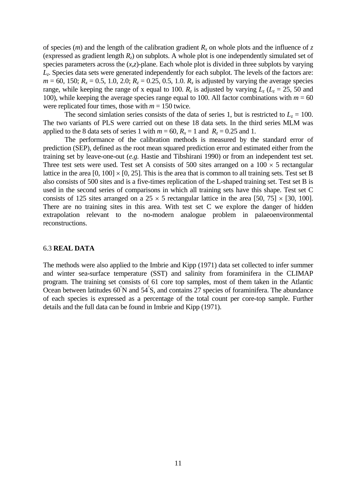of species  $(m)$  and the length of the calibration gradient  $R_x$  on whole plots and the influence of *z* (expressed as gradient length  $R_z$ ) on subplots. A whole plot is one independently simulated set of species parameters across the (*x*,*z*)-plane. Each whole plot is divided in three subplots by varying *Lz*. Species data sets were generated independently for each subplot. The levels of the factors are:  $m = 60$ , 150;  $R_x = 0.5$ , 1.0, 2.0;  $R_z = 0.25$ , 0.5, 1.0.  $R_x$  is adjusted by varying the average species range, while keeping the range of x equal to 100.  $R_z$  is adjusted by varying  $L_z$  ( $L_z$  = 25, 50 and 100), while keeping the average species range equal to 100. All factor combinations with  $m = 60$ were replicated four times, those with  $m = 150$  twice.

The second simlation series consists of the data of series 1, but is restricted to  $L<sub>z</sub> = 100$ . The two variants of PLS were carried out on these 18 data sets. In the third series MLM was applied to the 8 data sets of series 1 with  $m = 60$ ,  $R_x = 1$  and  $R_z = 0.25$  and 1.

 The performance of the calibration methods is measured by the standard error of prediction (SEP), defined as the root mean squared prediction error and estimated either from the training set by leave-one-out (*e.g.* Hastie and Tibshirani 1990) or from an independent test set. Three test sets were used. Test set A consists of 500 sites arranged on a  $100 \times 5$  rectangular lattice in the area  $[0, 100] \times [0, 25]$ . This is the area that is common to all training sets. Test set B also consists of 500 sites and is a five-times replication of the L-shaped training set. Test set B is used in the second series of comparisons in which all training sets have this shape. Test set C consists of 125 sites arranged on a  $25 \times 5$  rectangular lattice in the area [50, 75]  $\times$  [30, 100]. There are no training sites in this area. With test set C we explore the danger of hidden extrapolation relevant to the no-modern analogue problem in palaeoenvironmental reconstructions.

#### 6.3 **REAL DATA**

The methods were also applied to the Imbrie and Kipp (1971) data set collected to infer summer and winter sea-surface temperature (SST) and salinity from foraminifera in the CLIMAP program. The training set consists of 61 core top samples, most of them taken in the Atlantic Ocean between latitudes 60<sup>°</sup>N and 54<sup>°</sup>S, and contains 27 species of foraminifera. The abundance of each species is expressed as a percentage of the total count per core-top sample. Further details and the full data can be found in Imbrie and Kipp (1971).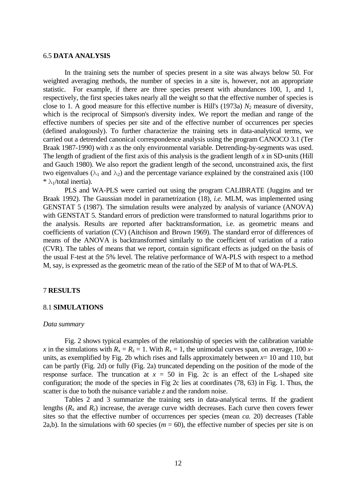# 6.5 **DATA ANALYSIS**

 In the training sets the number of species present in a site was always below 50. For weighted averaging methods, the number of species in a site is, however, not an appropriate statistic. For example, if there are three species present with abundances 100, 1, and 1, respectively, the first species takes nearly all the weight so that the effective number of species is close to 1. A good measure for this effective number is Hill's  $(1973a) N<sub>2</sub>$  measure of diversity, which is the reciprocal of Simpson's diversity index. We report the median and range of the effective numbers of species per site and of the effective number of occurrences per species (defined analogously). To further characterize the training sets in data-analytical terms, we carried out a detrended canonical correspondence analysis using the program CANOCO 3.1 (Ter Braak 1987-1990) with *x* as the only environmental variable. Detrending-by-segments was used. The length of gradient of the first axis of this analysis is the gradient length of *x* in SD-units (Hill and Gauch 1980). We also report the gradient length of the second, unconstrained axis, the first two eigenvalues ( $\lambda_1$  and  $\lambda_2$ ) and the percentage variance explained by the constrained axis (100)  $*\lambda_1$ /total inertia).

 PLS and WA-PLS were carried out using the program CALIBRATE (Juggins and ter Braak 1992). The Gaussian model in parametrization (18), *i.e.* MLM, was implemented using GENSTAT 5 (1987). The simulation results were analyzed by analysis of variance (ANOVA) with GENSTAT 5. Standard errors of prediction were transformed to natural logarithms prior to the analysis. Results are reported after backtransformation, i.e. as geometric means and coefficients of variation (CV) (Aitchison and Brown 1969). The standard error of differences of means of the ANOVA is backtransformed similarly to the coefficient of variation of a ratio (CVR). The tables of means that we report, contain significant effects as judged on the basis of the usual F-test at the 5% level. The relative performance of WA-PLS with respect to a method M, say, is expressed as the geometric mean of the ratio of the SEP of M to that of WA-PLS.

# 7 **RESULTS**

# 8.1 **SIMULATIONS**

# *Data summary*

 Fig. 2 shows typical examples of the relationship of species with the calibration variable *x* in the simulations with  $R_x = R_z = 1$ . With  $R_x = 1$ , the unimodal curves span, on average, 100 *x*units, as exemplified by Fig. 2b which rises and falls approximately between  $x=10$  and 110, but can be partly (Fig. 2d) or fully (Fig. 2a) truncated depending on the position of the mode of the response surface. The truncation at  $x = 50$  in Fig. 2c is an effect of the L-shaped site configuration; the mode of the species in Fig 2c lies at coordinates (78, 63) in Fig. 1. Thus, the scatter is due to both the nuisance variable *z* and the random noise.

 Tables 2 and 3 summarize the training sets in data-analytical terms. If the gradient lengths  $(R_x$  and  $R_z$ ) increase, the average curve width decreases. Each curve then covers fewer sites so that the effective number of occurrences per species (mean *ca.* 20) decreases (Table 2a,b). In the simulations with 60 species ( $m = 60$ ), the effective number of species per site is on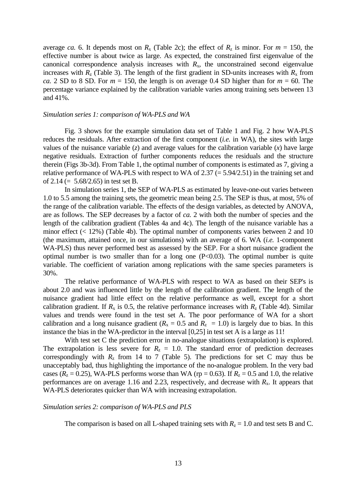average *ca.* 6. It depends most on  $R_x$  (Table 2c); the effect of  $R_z$  is minor. For  $m = 150$ , the effective number is about twice as large. As expected, the constrained first eigenvalue of the canonical correspondence analysis increases with  $R<sub>x</sub>$ , the unconstrained second eigenvalue increases with  $R_{\rm z}$  (Table 3). The length of the first gradient in SD-units increases with  $R_{\rm x}$  from *ca.* 2 SD to 8 SD. For  $m = 150$ , the length is on average 0.4 SD higher than for  $m = 60$ . The percentage variance explained by the calibration variable varies among training sets between 13 and 41%.

### *Simulation series 1: comparison of WA-PLS and WA*

 Fig. 3 shows for the example simulation data set of Table 1 and Fig. 2 how WA-PLS reduces the residuals. After extraction of the first component (*i.e.* in WA), the sites with large values of the nuisance variable  $(z)$  and average values for the calibration variable  $(x)$  have large negative residuals. Extraction of further components reduces the residuals and the structure therein (Figs 3b-3d). From Table 1, the optimal number of components is estimated as 7, giving a relative performance of WA-PLS with respect to WA of 2.37 (= 5.94/2.51) in the training set and of 2.14 ( $= 5.68/2.65$ ) in test set B.

 In simulation series 1, the SEP of WA-PLS as estimated by leave-one-out varies between 1.0 to 5.5 among the training sets, the geometric mean being 2.5. The SEP is thus, at most, 5% of the range of the calibration variable. The effects of the design variables, as detected by ANOVA, are as follows. The SEP decreases by a factor of *ca.* 2 with both the number of species and the length of the calibration gradient (Tables 4a and 4c). The length of the nuisance variable has a minor effect  $(< 12\%)$  (Table 4b). The optimal number of components varies between 2 and 10 (the maximum, attained once, in our simulations) with an average of 6. WA (*i.e.* 1-component WA-PLS) thus never performed best as assessed by the SEP. For a short nuisance gradient the optimal number is two smaller than for a long one  $(P<0.03)$ . The optimal number is quite variable. The coefficient of variation among replications with the same species parameters is 30%.

 The relative performance of WA-PLS with respect to WA as based on their SEP's is about 2.0 and was influenced little by the length of the calibration gradient. The length of the nuisance gradient had little effect on the relative performance as well, except for a short calibration gradient. If  $R_x$  is 0.5, the relative performance increases with  $R_z$  (Table 4d). Similar values and trends were found in the test set A. The poor performance of WA for a short calibration and a long nuisance gradient ( $R_x = 0.5$  and  $R_z = 1.0$ ) is largely due to bias. In this instance the bias in the WA-predictor in the interval [0,25] in test set A is a large as 11!

 With test set C the prediction error in no-analogue situations (extrapolation) is explored. The extrapolation is less severe for  $R<sub>z</sub> = 1.0$ . The standard error of prediction decreases correspondingly with  $R_z$  from 14 to 7 (Table 5). The predictions for set C may thus be unacceptably bad, thus highlighting the importance of the no-analogue problem. In the very bad cases ( $R_z = 0.25$ ), WA-PLS performs worse than WA (rp = 0.63). If  $R_z = 0.5$  and 1.0, the relative performances are on average 1.16 and 2.23, respectively, and decrease with  $R<sub>x</sub>$ . It appears that WA-PLS deteriorates quicker than WA with increasing extrapolation.

### *Simulation series 2: comparison of WA-PLS and PLS*

The comparison is based on all L-shaped training sets with  $R_z = 1.0$  and test sets B and C.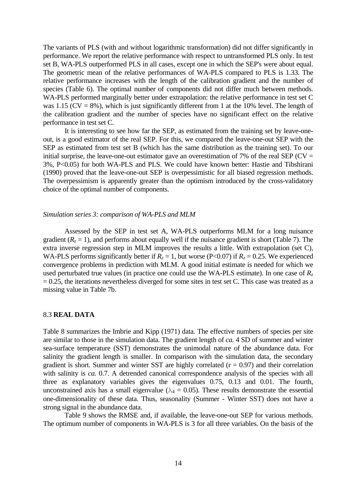The variants of PLS (with and without logarithmic transformation) did not differ significantly in performance. We report the relative performance with respect to untransformed PLS only. In test set B, WA-PLS outperformed PLS in all cases, except one in which the SEP's were about equal. The geometric mean of the relative performances of WA-PLS compared to PLS is 1.33. The relative performance increases with the length of the calibration gradient and the number of species (Table 6). The optimal number of components did not differ much between methods. WA-PLS performed marginally better under extrapolation: the relative performance in test set C was 1.15 ( $CV = 8\%$ ), which is just significantly different from 1 at the 10% level. The length of the calibration gradient and the number of species have no significant effect on the relative performance in test set C.

 It is interesting to see how far the SEP, as estimated from the training set by leave-oneout, is a good estimator of the real SEP. For this, we compared the leave-one-out SEP with the SEP as estimated from test set B (which has the same distribution as the training set). To our initial surprise, the leave-one-out estimator gave an overestimation of 7% of the real SEP ( $CV =$ 3%, P<0.05) for both WA-PLS and PLS. We could have known better: Hastie and Tibshirani (1990) proved that the leave-one-out SEP is overpessimistic for all biased regression methods. The overpessimism is apparently greater than the optimism introduced by the cross-validatory choice of the optimal number of components.

### *Simulation series 3: comparison of WA-PLS and MLM*

 Assessed by the SEP in test set A, WA-PLS outperforms MLM for a long nuisance gradient  $(R_z = 1)$ , and performs about equally well if the nuisance gradient is short (Table 7). The extra inverse regression step in MLM improves the results a little. With extrapolation (set C), WA-PLS performs significantly better if  $R_z = 1$ , but worse (P<0.07) if  $R_z = 0.25$ . We experienced convergence problems in prediction with MLM. A good initial estimate is needed for which we used perturbated true values (in practice one could use the WA-PLS estimate). In one case of  $R_z$  $= 0.25$ , the iterations nevertheless diverged for some sites in test set C. This case was treated as a missing value in Table 7b.

#### 8.3 **REAL DATA**

Table 8 summarizes the Imbrie and Kipp (1971) data. The effective numbers of species per site are similar to those in the simulation data. The gradient length of *ca.* 4 SD of summer and winter sea-surface temperature (SST) demonstrates the unimodal nature of the abundance data. For salinity the gradient length is smaller. In comparison with the simulation data, the secondary gradient is short. Summer and winter SST are highly correlated  $(r = 0.97)$  and their correlation with salinity is *ca.* 0.7. A detrended canonical correspondence analysis of the species with all three as explanatory variables gives the eigenvalues 0.75, 0.13 and 0.01. The fourth, unconstrained axis has a small eigenvalue ( $\lambda_4 = 0.05$ ). These results demonstrate the essential one-dimensionality of these data. Thus, seasonality (Summer - Winter SST) does not have a strong signal in the abundance data.

 Table 9 shows the RMSE and, if available, the leave-one-out SEP for various methods. The optimum number of components in WA-PLS is 3 for all three variables. On the basis of the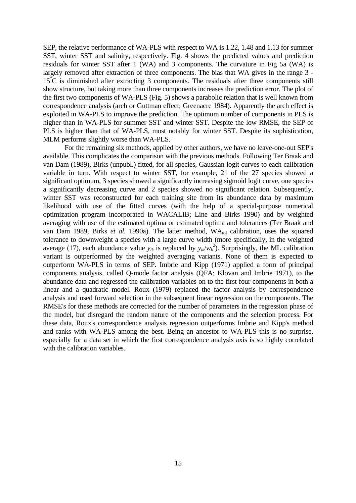SEP, the relative performance of WA-PLS with respect to WA is 1.22, 1.48 and 1.13 for summer SST, winter SST and salinity, respectively. Fig. 4 shows the predicted values and prediction residuals for winter SST after 1 (WA) and 3 components. The curvature in Fig 5a (WA) is largely removed after extraction of three components. The bias that WA gives in the range 3 - 15°C is diminished after extracting 3 components. The residuals after three components still show structure, but taking more than three components increases the prediction error. The plot of the first two components of WA-PLS (Fig. 5) shows a parabolic relation that is well known from correspondence analysis (arch or Guttman effect; Greenacre 1984). Apparently the arch effect is exploited in WA-PLS to improve the prediction. The optimum number of components in PLS is higher than in WA-PLS for summer SST and winter SST. Despite the low RMSE, the SEP of PLS is higher than that of WA-PLS, most notably for winter SST. Despite its sophistication, MLM performs slightly worse than WA-PLS.

 For the remaining six methods, applied by other authors, we have no leave-one-out SEP's available. This complicates the comparison with the previous methods. Following Ter Braak and van Dam (1989), Birks (unpubl.) fitted, for all species, Gaussian logit curves to each calibration variable in turn. With respect to winter SST, for example, 21 of the 27 species showed a significant optimum, 3 species showed a significantly increasing sigmoid logit curve, one species a significantly decreasing curve and 2 species showed no significant relation. Subsequently, winter SST was reconstructed for each training site from its abundance data by maximum likelihood with use of the fitted curves (with the help of a special-purpose numerical optimization program incorporated in WACALIB; Line and Birks 1990) and by weighted averaging with use of the estimated optima or estimated optima and tolerances (Ter Braak and van Dam 1989, Birks *et al.* 1990a). The latter method, WA<sub>tol</sub> calibration, uses the squared tolerance to downweight a species with a large curve width (more specifically, in the weighted average (17), each abundance value  $y_{ik}$  is replaced by  $y_{ik}/w_k^2$ ). Surprisingly, the ML calibration variant is outperformed by the weighted averaging variants. None of them is expected to outperform WA-PLS in terms of SEP. Imbrie and Kipp (1971) applied a form of principal components analysis, called Q-mode factor analysis (QFA; Klovan and Imbrie 1971), to the abundance data and regressed the calibration variables on to the first four components in both a linear and a quadratic model. Roux (1979) replaced the factor analysis by correspondence analysis and used forward selection in the subsequent linear regression on the components. The RMSE's for these methods are corrected for the number of parameters in the regression phase of the model, but disregard the random nature of the components and the selection process. For these data, Roux's correspondence analysis regression outperforms Imbrie and Kipp's method and ranks with WA-PLS among the best. Being an ancestor to WA-PLS this is no surprise, especially for a data set in which the first correspondence analysis axis is so highly correlated with the calibration variables.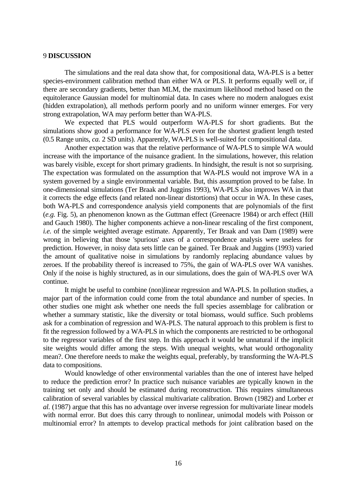# 9 **DISCUSSION**

 The simulations and the real data show that, for compositional data, WA-PLS is a better species-environment calibration method than either WA or PLS. It performs equally well or, if there are secondary gradients, better than MLM, the maximum likelihood method based on the equitolerance Gaussian model for multinomial data. In cases where no modern analogues exist (hidden extrapolation), all methods perform poorly and no uniform winner emerges. For very strong extrapolation, WA may perform better than WA-PLS.

 We expected that PLS would outperform WA-PLS for short gradients. But the simulations show good a performance for WA-PLS even for the shortest gradient length tested (0.5 Range units, *ca.* 2 SD units). Apparently, WA-PLS is well-suited for compositional data.

 Another expectation was that the relative performance of WA-PLS to simple WA would increase with the importance of the nuisance gradient. In the simulations, however, this relation was barely visible, except for short primary gradients. In hindsight, the result is not so surprising. The expectation was formulated on the assumption that WA-PLS would not improve WA in a system governed by a single environmental variable. But, this assumption proved to be false. In one-dimensional simulations (Ter Braak and Juggins 1993), WA-PLS also improves WA in that it corrects the edge effects (and related non-linear distortions) that occur in WA. In these cases, both WA-PLS and correspondence analysis yield components that are polynomials of the first (*e.g.* Fig. 5), an phenomenon known as the Guttman effect (Greenacre 1984) or arch effect (Hill and Gauch 1980). The higher components achieve a non-linear rescaling of the first component, *i.e.* of the simple weighted average estimate. Apparently, Ter Braak and van Dam (1989) were wrong in believing that those 'spurious' axes of a correspondence analysis were useless for prediction. However, in noisy data sets little can be gained. Ter Braak and Juggins (1993) varied the amount of qualitative noise in simulations by randomly replacing abundance values by zeroes. If the probability thereof is increased to 75%, the gain of WA-PLS over WA vanishes. Only if the noise is highly structured, as in our simulations, does the gain of WA-PLS over WA continue.

 It might be useful to combine (non)linear regression and WA-PLS. In pollution studies, a major part of the information could come from the total abundance and number of species. In other studies one might ask whether one needs the full species assemblage for calibration or whether a summary statistic, like the diversity or total biomass, would suffice. Such problems ask for a combination of regression and WA-PLS. The natural approach to this problem is first to fit the regression followed by a WA-PLS in which the components are restricted to be orthogonal to the regressor variables of the first step. In this approach it would be unnatural if the implicit site weights would differ among the steps. With unequal weights, what would orthogonality mean?. One therefore needs to make the weights equal, preferably, by transforming the WA-PLS data to compositions.

 Would knowledge of other environmental variables than the one of interest have helped to reduce the prediction error? In practice such nuisance variables are typically known in the training set only and should be estimated during reconstruction. This requires simultaneous calibration of several variables by classical multivariate calibration. Brown (1982) and Lorber *et al.* (1987) argue that this has no advantage over inverse regression for multivariate linear models with normal error. But does this carry through to nonlinear, unimodal models with Poisson or multinomial error? In attempts to develop practical methods for joint calibration based on the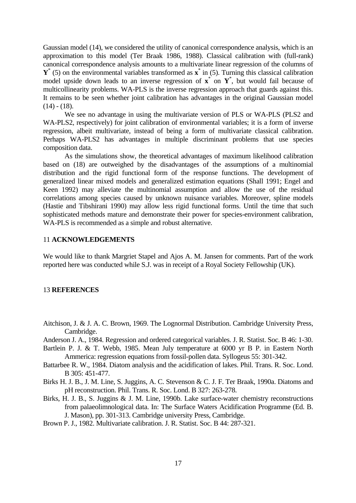Gaussian model (14), we considered the utility of canonical correspondence analysis, which is an approximation to this model (Ter Braak 1986, 1988). Classical calibration with (full-rank) canonical correspondence analysis amounts to a multivariate linear regression of the columns of  $Y^*$  (5) on the environmental variables transformed as  $x^*$  in (5). Turning this classical calibration model upside down leads to an inverse regression of  $x^*$  on  $Y^*$ , but would fail because of multicollinearity problems. WA-PLS is the inverse regression approach that guards against this. It remains to be seen whether joint calibration has advantages in the original Gaussian model  $(14) - (18)$ .

 We see no advantage in using the multivariate version of PLS or WA-PLS (PLS2 and WA-PLS2, respectively) for joint calibration of environmental variables; it is a form of inverse regression, albeit multivariate, instead of being a form of multivariate classical calibration. Perhaps WA-PLS2 has advantages in multiple discriminant problems that use species composition data.

 As the simulations show, the theoretical advantages of maximum likelihood calibration based on (18) are outweighed by the disadvantages of the assumptions of a multinomial distribution and the rigid functional form of the response functions. The development of generalized linear mixed models and generalized estimation equations (Shall 1991; Engel and Keen 1992) may alleviate the multinomial assumption and allow the use of the residual correlations among species caused by unknown nuisance variables. Moreover, spline models (Hastie and Tibshirani 1990) may allow less rigid functional forms. Until the time that such sophisticated methods mature and demonstrate their power for species-environment calibration, WA-PLS is recommended as a simple and robust alternative.

# 11 **ACKNOWLEDGEMENTS**

We would like to thank Margriet Stapel and Ajos A. M. Jansen for comments. Part of the work reported here was conducted while S.J. was in receipt of a Royal Society Fellowship (UK).

### 13 **REFERENCES**

- Aitchison, J. & J. A. C. Brown, 1969. The Lognormal Distribution. Cambridge University Press, Cambridge.
- Anderson J. A., 1984. Regression and ordered categorical variables. J. R. Statist. Soc. B 46: 1-30.
- Bartlein P. J. & T. Webb, 1985. Mean July temperature at 6000 yr B P. in Eastern North Ammerica: regression equations from fossil-pollen data. Syllogeus 55: 301-342.
- Battarbee R. W., 1984. Diatom analysis and the acidification of lakes. Phil. Trans. R. Soc. Lond. B 305: 451-477.
- Birks H. J. B., J. M. Line, S. Juggins, A. C. Stevenson & C. J. F. Ter Braak, 1990a. Diatoms and pH reconstruction. Phil. Trans. R. Soc. Lond. B 327: 263-278.
- Birks, H. J. B., S. Juggins & J. M. Line, 1990b. Lake surface-water chemistry reconstructions from palaeolimnological data. In: The Surface Waters Acidification Programme (Ed. B. J. Mason), pp. 301-313. Cambridge university Press, Cambridge.
- Brown P. J., 1982. Multivariate calibration. J. R. Statist. Soc. B 44: 287-321.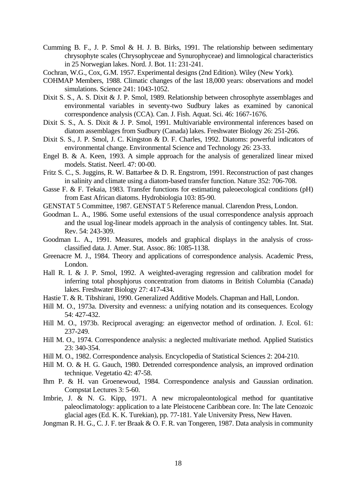- Cumming B. F., J. P. Smol & H. J. B. Birks, 1991. The relationship between sedimentary chrysophyte scales (Chrysophyceae and Synurophyceae) and limnological characteristics in 25 Norwegian lakes. Nord. J. Bot. 11: 231-241.
- Cochran, W.G., Cox, G.M. 1957. Experimental designs (2nd Edition). Wiley (New York).
- COHMAP Members, 1988. Climatic changes of the last 18,000 years: observations and model simulations. Science 241: 1043-1052.
- Dixit S. S., A. S. Dixit & J. P. Smol, 1989. Relationship between chrosophyte assemblages and environmental variables in seventy-two Sudbury lakes as examined by canonical correspondence analysis (CCA). Can. J. Fish. Aquat. Sci. 46: 1667-1676.
- Dixit S. S., A. S. Dixit & J. P. Smol, 1991. Multivariable environmental inferences based on diatom assemblages from Sudbury (Canada) lakes. Freshwater Biology 26: 251-266.
- Dixit S. S., J. P. Smol, J. C. Kingston & D. F. Charles, 1992. Diatoms: powerful indicators of environmental change. Environmental Science and Technology 26: 23-33.
- Engel B. & A. Keen, 1993. A simple approach for the analysis of generalized linear mixed models. Statist. Neerl. 47: 00-00.
- Fritz S. C., S. Juggins, R. W. Battarbee & D. R. Engstrom, 1991. Reconstruction of past changes in salinity and climate using a diatom-based transfer function. Nature 352: 706-708.
- Gasse F. & F. Tekaia, 1983. Transfer functions for estimating paleoecological conditions (pH) from East African diatoms. Hydrobiologia 103: 85-90.
- GENSTAT 5 Committee, 1987. GENSTAT 5 Reference manual. Clarendon Press, London.
- Goodman L. A., 1986. Some useful extensions of the usual correspondence analysis approach and the usual log-linear models approach in the analysis of contingency tables. Int. Stat. Rev. 54: 243-309.
- Goodman L. A., 1991. Measures, models and graphical displays in the analysis of crossclassified data. J. Amer. Stat. Assoc. 86: 1085-1138.
- Greenacre M. J., 1984. Theory and applications of correspondence analysis. Academic Press, London.
- Hall R. I. & J. P. Smol, 1992. A weighted-averaging regression and calibration model for inferring total phosphjorus concentration from diatoms in British Columbia (Canada) lakes. Freshwater Biology 27: 417-434.
- Hastie T. & R. Tibshirani, 1990. Generalized Additive Models. Chapman and Hall, London.
- Hill M. O., 1973a. Diversity and evenness: a unifying notation and its consequences. Ecology 54: 427-432.
- Hill M. O., 1973b. Reciprocal averaging: an eigenvector method of ordination. J. Ecol. 61: 237-249.
- Hill M. O., 1974. Correspondence analysis: a neglected multivariate method. Applied Statistics 23: 340-354.
- Hill M. O., 1982. Correspondence analysis. Encyclopedia of Statistical Sciences 2: 204-210.
- Hill M. O. & H. G. Gauch, 1980. Detrended correspondence analysis, an improved ordination technique. Vegetatio 42: 47-58.
- Ihm P. & H. van Groenewoud, 1984. Correspondence analysis and Gaussian ordination. Compstat Lectures 3: 5-60.
- Imbrie, J. & N. G. Kipp, 1971. A new micropaleontological method for quantitative paleoclimatology: application to a late Pleistocene Caribbean core. In: The late Cenozoic glacial ages (Ed. K. K. Turekian), pp. 77-181. Yale University Press, New Haven.
- Jongman R. H. G., C. J. F. ter Braak & O. F. R. van Tongeren, 1987. Data analysis in community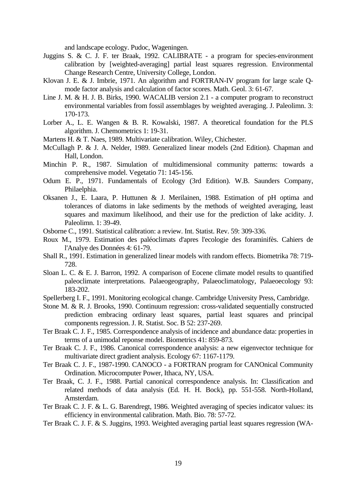and landscape ecology. Pudoc, Wageningen.

- Juggins S. & C. J. F. ter Braak, 1992. CALIBRATE a program for species-environment calibration by [weighted-averaging] partial least squares regression. Environmental Change Research Centre, University College, London.
- Klovan J. E. & J. Imbrie, 1971. An algorithm and FORTRAN-IV program for large scale Qmode factor analysis and calculation of factor scores. Math. Geol. 3: 61-67.
- Line J. M. & H. J. B. Birks, 1990. WACALIB version 2.1 a computer program to reconstruct environmental variables from fossil assemblages by weighted averaging. J. Paleolimn. 3: 170-173.
- Lorber A., L. E. Wangen & B. R. Kowalski, 1987. A theoretical foundation for the PLS algorithm. J. Chemometrics 1: 19-31.
- Martens H. & T. Naes, 1989. Multivariate calibration. Wiley, Chichester.
- McCullagh P. & J. A. Nelder, 1989. Generalized linear models (2nd Edition). Chapman and Hall, London.
- Minchin P. R., 1987. Simulation of multidimensional community patterns: towards a comprehensive model. Vegetatio 71: 145-156.
- Odum E. P., 1971. Fundamentals of Ecology (3rd Edition). W.B. Saunders Company, Philaelphia.
- Oksanen J., E. Laara, P. Huttunen & J. Merilainen, 1988. Estimation of pH optima and tolerances of diatoms in lake sediments by the methods of weighted averaging, least squares and maximum likelihood, and their use for the prediction of lake acidity. J. Paleolimn. 1: 39-49.
- Osborne C., 1991. Statistical calibration: a review. Int. Statist. Rev. 59: 309-336.
- Roux M., 1979. Estimation des paléoclimats d'apres l'ecologie des foraminifès. Cahiers de l'Analye des Données 4: 61-79.
- Shall R., 1991. Estimation in generalized linear models with random effects. Biometrika 78: 719- 728.
- Sloan L. C. & E. J. Barron, 1992. A comparison of Eocene climate model results to quantified paleoclimate interpretations. Palaeogeography, Palaeoclimatology, Palaeoecology 93: 183-202.
- Spellerberg I. F., 1991. Monitoring ecological change. Cambridge University Press, Cambridge.
- Stone M. & R. J. Brooks, 1990. Continuum regression: cross-validated sequentially constructed prediction embracing ordinary least squares, partial least squares and principal components regression. J. R. Statist. Soc. B 52: 237-269.
- Ter Braak C. J. F., 1985. Correspondence analysis of incidence and abundance data: properties in terms of a unimodal reponse model. Biometrics 41: 859-873.
- Ter Braak C. J. F., 1986. Canonical correspondence analysis: a new eigenvector technique for multivariate direct gradient analysis. Ecology 67: 1167-1179.
- Ter Braak C. J. F., 1987-1990. CANOCO a FORTRAN program for CANOnical Community Ordination. Microcomputer Power, Ithaca, NY, USA.
- Ter Braak, C. J. F., 1988. Partial canonical correspondence analysis. In: Classification and related methods of data analysis (Ed. H. H. Bock), pp. 551-558. North-Holland, Amsterdam.
- Ter Braak C. J. F. & L. G. Barendregt, 1986. Weighted averaging of species indicator values: its efficiency in environmental calibration. Math. Bio. 78: 57-72.
- Ter Braak C. J. F. & S. Juggins, 1993. Weighted averaging partial least squares regression (WA-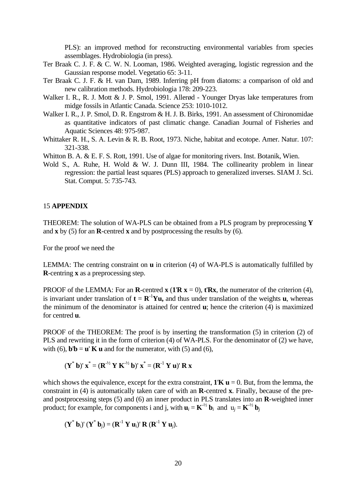PLS): an improved method for reconstructing environmental variables from species assemblages. Hydrobiologia (in press).

- Ter Braak C. J. F. & C. W. N. Looman, 1986. Weighted averaging, logistic regression and the Gaussian response model. Vegetatio 65: 3-11.
- Ter Braak C. J. F. & H. van Dam, 1989. Inferring pH from diatoms: a comparison of old and new calibration methods. Hydrobiologia 178: 209-223.
- Walker I. R., R. J. Mott & J. P. Smol, 1991. Allerød Younger Dryas lake temperatures from midge fossils in Atlantic Canada. Science 253: 1010-1012.
- Walker I. R., J. P. Smol, D. R. Engstrom & H. J. B. Birks, 1991. An assessment of Chironomidae as quantitative indicators of past climatic change. Canadian Journal of Fisheries and Aquatic Sciences 48: 975-987.
- Whittaker R. H., S. A. Levin & R. B. Root, 1973. Niche, habitat and ecotope. Amer. Natur. 107: 321-338.
- Whitton B. A. & E. F. S. Rott, 1991. Use of algae for monitoring rivers. Inst. Botanik, Wien.
- Wold S., A. Ruhe, H. Wold & W. J. Dunn III, 1984. The collinearity problem in linear regression: the partial least squares (PLS) approach to generalized inverses. SIAM J. Sci. Stat. Comput. 5: 735-743.

# 15 **APPENDIX**

THEOREM: The solution of WA-PLS can be obtained from a PLS program by preprocessing **Y** and **x** by (5) for an **R**-centred **x** and by postprocessing the results by (6).

For the proof we need the

LEMMA: The centring constraint on **u** in criterion (4) of WA-PLS is automatically fulfilled by **R**-centring **x** as a preprocessing step.

PROOF of the LEMMA: For an **R**-centred **x** (**1**'**R**  $\bf{x}$  = 0), **t**'**Rx**, the numerator of the criterion (4), is invariant under translation of  $t = \mathbf{R}^{-1}$ **Yu**, and thus under translation of the weights **u**, whereas the minimum of the denominator is attained for centred **u**; hence the criterion (4) is maximized for centred **u**.

PROOF of the THEOREM: The proof is by inserting the transformation (5) in criterion (2) of PLS and rewriting it in the form of criterion (4) of WA-PLS. For the denominator of (2) we have, with (6),  $\mathbf{b}'\mathbf{b} = \mathbf{u}'\mathbf{K}\mathbf{u}$  and for the numerator, with (5) and (6),

$$
(\mathbf{Y}^* \mathbf{b})' \mathbf{x}^* = (\mathbf{R}^{1/2} \mathbf{Y} \mathbf{K}^{1/2} \mathbf{b})' \mathbf{x}^* = (\mathbf{R}^{1} \mathbf{Y} \mathbf{u})' \mathbf{R} \mathbf{x}
$$

which shows the equivalence, except for the extra constraint,  $1'K u = 0$ . But, from the lemma, the constraint in (4) is automatically taken care of with an **R**-centred **x**. Finally, because of the preand postprocessing steps (5) and (6) an inner product in PLS translates into an **R**-weighted inner product; for example, for components i and j, with  $\mathbf{u}_i = \mathbf{K}^{\frac{1}{2}} \mathbf{b}_i$  and  $\mathbf{u}_i = \mathbf{K}^{\frac{1}{2}} \mathbf{b}_i$ 

 $({\bf Y}^* {\bf b}_i)' ({\bf Y}^* {\bf b}_j) = ({\bf R}^{-1} {\bf Y} {\bf u}_i)' {\bf R} ({\bf R}^{-1} {\bf Y} {\bf u}_j).$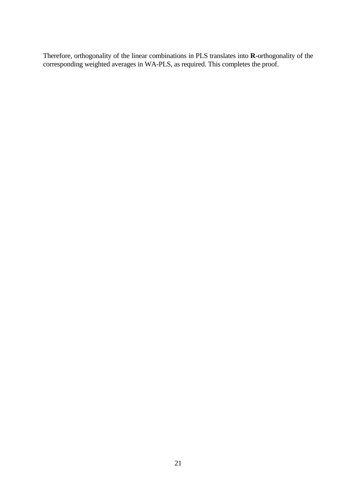Therefore, orthogonality of the linear combinations in PLS translates into **R**-orthogonality of the corresponding weighted averages in WA-PLS, as required. This completes the proof.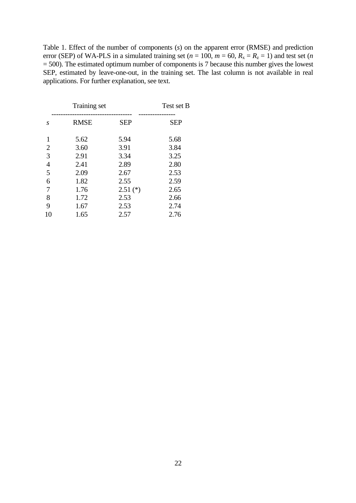Table 1. Effect of the number of components (*s*) on the apparent error (RMSE) and prediction error (SEP) of WA-PLS in a simulated training set ( $n = 100$ ,  $m = 60$ ,  $R_x = R_z = 1$ ) and test set (*n* = 500). The estimated optimum number of components is 7 because this number gives the lowest SEP, estimated by leave-one-out, in the training set. The last column is not available in real applications. For further explanation, see text.

|                | Training set |            | Test set B |
|----------------|--------------|------------|------------|
| S              | <b>RMSE</b>  | <b>SEP</b> | <b>SEP</b> |
| 1              | 5.62         | 5.94       | 5.68       |
| 2              | 3.60         | 3.91       | 3.84       |
| 3              | 2.91         | 3.34       | 3.25       |
| $\overline{4}$ | 2.41         | 2.89       | 2.80       |
| 5              | 2.09         | 2.67       | 2.53       |
| 6              | 1.82         | 2.55       | 2.59       |
| 7              | 1.76         | $2.51$ (*) | 2.65       |
| 8              | 1.72         | 2.53       | 2.66       |
| 9              | 1.67         | 2.53       | 2.74       |
| 10             | 1.65         | 2.57       | 2.76       |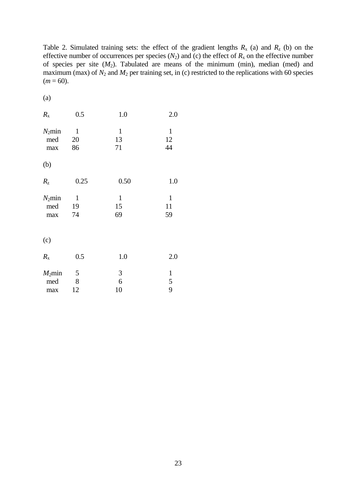Table 2. Simulated training sets: the effect of the gradient lengths  $R_x$  (a) and  $R_z$  (b) on the effective number of occurrences per species  $(N_2)$  and (c) the effect of  $R_x$  on the effective number of species per site  $(M_2)$ . Tabulated are means of the minimum (min), median (med) and maximum (max) of  $N_2$  and  $M_2$  per training set, in (c) restricted to the replications with 60 species  $(m = 60)$ .

| ۰. |  |
|----|--|

| $R_{\rm x}$             | 0.5                      | 1.0                      | 2.0                      |
|-------------------------|--------------------------|--------------------------|--------------------------|
| $N_2$ min<br>med<br>max | $\mathbf{1}$<br>20<br>86 | $\mathbf{1}$<br>13<br>71 | $\mathbf{1}$<br>12<br>44 |
| (b)                     |                          |                          |                          |
| $R_{\rm z}$             | 0.25                     | 0.50                     | 1.0                      |
| $N_2$ min<br>med<br>max | $\mathbf{1}$<br>19<br>74 | $\mathbf{1}$<br>15<br>69 | $\mathbf{1}$<br>11<br>59 |
| (c)                     |                          |                          |                          |
| $R_{\rm x}$             | 0.5                      | 1.0                      | 2.0                      |
| $M_2$ min<br>med<br>max | 5<br>8<br>12             | 3<br>6<br>10             | $\mathbf{1}$<br>5<br>9   |

23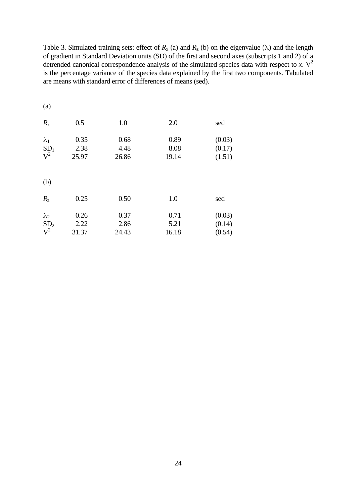Table 3. Simulated training sets: effect of  $R_x$  (a) and  $R_z$  (b) on the eigenvalue ( $\lambda$ ) and the length of gradient in Standard Deviation units (SD) of the first and second axes (subscripts 1 and 2) of a detrended canonical correspondence analysis of the simulated species data with respect to  $\hat{x}$ . V<sup>2</sup> is the percentage variance of the species data explained by the first two components. Tabulated are means with standard error of differences of means (sed).

| (a)             |       |       |       |        |
|-----------------|-------|-------|-------|--------|
| $R_{\rm x}$     | 0.5   | 1.0   | 2.0   | sed    |
| $\lambda_1$     | 0.35  | 0.68  | 0.89  | (0.03) |
| SD <sub>1</sub> | 2.38  | 4.48  | 8.08  | (0.17) |
| $V^2$           | 25.97 | 26.86 | 19.14 | (1.51) |
| (b)             |       |       |       |        |
| $R_{\rm z}$     | 0.25  | 0.50  | 1.0   | sed    |
| $\lambda_2$     | 0.26  | 0.37  | 0.71  | (0.03) |
| SD <sub>2</sub> | 2.22  | 2.86  | 5.21  | (0.14) |
| $V^2$           | 31.37 | 24.43 | 16.18 | (0.54) |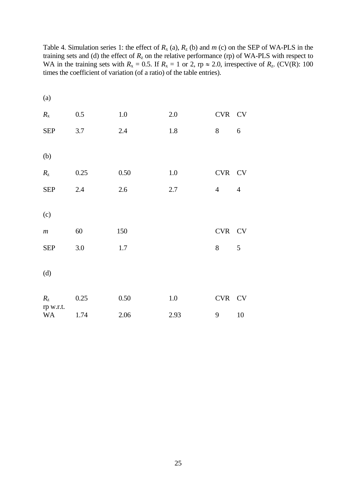| (a)                    |         |         |         |                |                  |
|------------------------|---------|---------|---------|----------------|------------------|
| $R_{\rm x}$            | $0.5\,$ | $1.0\,$ | $2.0\,$ | CVR CV         |                  |
| <b>SEP</b>             | 3.7     | $2.4\,$ | $1.8\,$ | $8\,$          | $\boldsymbol{6}$ |
| (b)                    |         |         |         |                |                  |
| $R_{z}$                | 0.25    | 0.50    | 1.0     | CVR CV         |                  |
| <b>SEP</b>             | 2.4     | $2.6\,$ | $2.7\,$ | $\overline{4}$ | $\overline{4}$   |
| (c)                    |         |         |         |                |                  |
| $\ensuremath{m}$       | 60      | 150     |         | CVR CV         |                  |
| <b>SEP</b>             | $3.0\,$ | 1.7     |         | 8              | $\mathfrak{S}$   |
| (d)                    |         |         |         |                |                  |
| $R_{z}$                | 0.25    | 0.50    | 1.0     | CVR CV         |                  |
| rp w.r.t.<br><b>WA</b> | 1.74    | 2.06    | 2.93    | 9              | 10               |

Table 4. Simulation series 1: the effect of  $R_x$  (a),  $R_z$  (b) and  $m$  (c) on the SEP of WA-PLS in the training sets and (d) the effect of  $R<sub>z</sub>$  on the relative performance (rp) of WA-PLS with respect to WA in the training sets with  $R_x = 0.5$ . If  $R_x = 1$  or 2, rp  $\approx 2.0$ , irrespective of  $R_z$ . (CV(R): 100 times the coefficient of variation (of a ratio) of the table entries).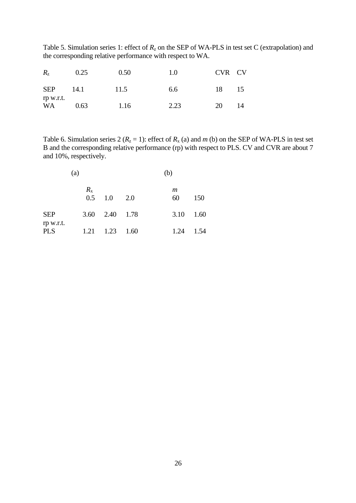Table 5. Simulation series 1: effect of  $R_z$  on the SEP of WA-PLS in test set C (extrapolation) and the corresponding relative performance with respect to WA.

| $R_{\rm z}$             | 0.25 | 0.50 | 1.0  | CVR CV |    |
|-------------------------|------|------|------|--------|----|
| <b>SEP</b><br>rp w.r.t. | 14.1 | 11.5 | 6.6  | 18     | 15 |
| WA                      | 0.63 | 1.16 | 2.23 | 20     | 14 |

Table 6. Simulation series 2 ( $R_z = 1$ ): effect of  $R_x$  (a) and  $m$  (b) on the SEP of WA-PLS in test set B and the corresponding relative performance (rp) with respect to PLS. CV and CVR are about 7 and 10%, respectively.

| (a)                     |             |                              | (b) |         |      |  |
|-------------------------|-------------|------------------------------|-----|---------|------|--|
|                         | $R_{\rm x}$ | $0.5 \quad 1.0$              | 2.0 | m<br>60 | 150  |  |
| <b>SEP</b>              |             | 3.60 2.40 1.78               |     | 3.10    | 1.60 |  |
| rp w.r.t.<br><b>PLS</b> |             | $1.21 \quad 1.23 \quad 1.60$ |     | 1.24    | 1.54 |  |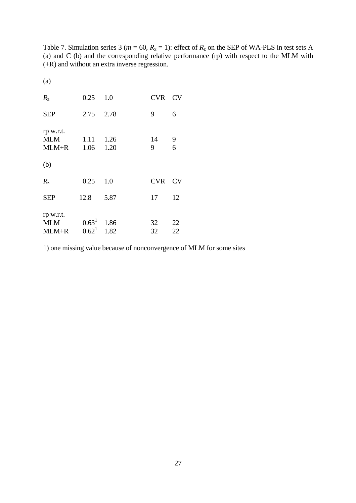Table 7. Simulation series 3 ( $m = 60$ ,  $R_x = 1$ ): effect of  $R_z$  on the SEP of WA-PLS in test sets A (a) and C (b) and the corresponding relative performance (rp) with respect to the MLM with (+R) and without an extra inverse regression.

(a)

| $R_{\rm z}$                        | 0.25                      | 1.0          | <b>CVR</b> | <b>CV</b>                             |
|------------------------------------|---------------------------|--------------|------------|---------------------------------------|
| <b>SEP</b>                         | 2.75 2.78                 |              | 9          | 6                                     |
| rp w.r.t.<br><b>MLM</b><br>$MLM+R$ | 1.11<br>1.06              | 1.26<br>1.20 | 14<br>9    | $\begin{array}{c} 9 \\ 6 \end{array}$ |
| (b)                                |                           |              |            |                                       |
| $R_{\rm z}$                        | 0.25                      | 1.0          | <b>CVR</b> | CV                                    |
| <b>SEP</b>                         | 12.8                      | 5.87         | 17         | 12                                    |
| rp w.r.t.<br>MLM<br>$MLM+R$        | $0.63^1$ 1.86<br>$0.62^1$ | 1.82         | 32<br>32   | 22<br>22                              |

1) one missing value because of nonconvergence of MLM for some sites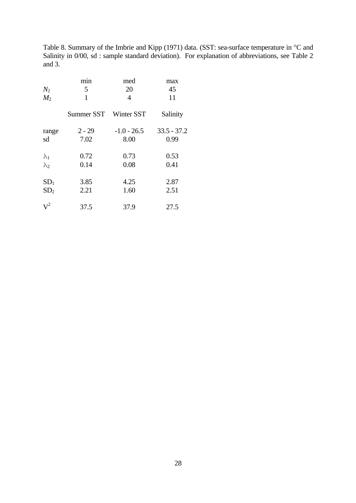Table 8. Summary of the Imbrie and Kipp (1971) data. (SST: sea-surface temperature in °C and Salinity in 0/00, sd : sample standard deviation). For explanation of abbreviations, see Table 2 and 3.

|                 | min        | med           | max           |
|-----------------|------------|---------------|---------------|
| $N_2$           | 5          | 20            | 45            |
| $M_2$           | 1          | 4             | 11            |
|                 | Summer SST | Winter SST    | Salinity      |
| range           | $2 - 29$   | $-1.0 - 26.5$ | $33.5 - 37.2$ |
| sd              | 7.02       | 8.00          | 0.99          |
| $\lambda_1$     | 0.72       | 0.73          | 0.53          |
| $\lambda_2$     | 0.14       | 0.08          | 0.41          |
| SD <sub>1</sub> | 3.85       | 4.25          | 2.87          |
| SD <sub>2</sub> | 2.21       | 1.60          | 2.51          |
| $V^2$           | 37.5       | 37.9          | 27.5          |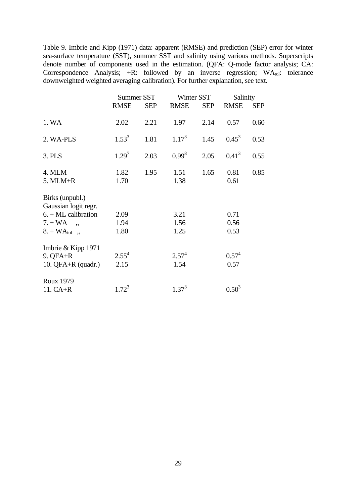Table 9. Imbrie and Kipp (1971) data: apparent (RMSE) and prediction (SEP) error for winter sea-surface temperature (SST), summer SST and salinity using various methods. Superscripts denote number of components used in the estimation. (QFA: Q-mode factor analysis; CA: Correspondence Analysis;  $+R$ : followed by an inverse regression;  $WA<sub>tol</sub>$ : tolerance downweighted weighted averaging calibration). For further explanation, see text.

|                                                                                                    | Summer SST           |            | Winter SST           |            | Salinity             |            |
|----------------------------------------------------------------------------------------------------|----------------------|------------|----------------------|------------|----------------------|------------|
|                                                                                                    | <b>RMSE</b>          | <b>SEP</b> | <b>RMSE</b>          | <b>SEP</b> | <b>RMSE</b>          | <b>SEP</b> |
| 1. WA                                                                                              | 2.02                 | 2.21       | 1.97                 | 2.14       | 0.57                 | 0.60       |
| 2. WA-PLS                                                                                          | $1.53^{3}$           | 1.81       | $1.17^{3}$           | 1.45       | $0.45^3$             | 0.53       |
| 3. PLS                                                                                             | $1.29^{7}$           | 2.03       | $0.99^{8}$           | 2.05       | $0.41^{3}$           | 0.55       |
| 4. MLM<br>$5.$ MLM+R                                                                               | 1.82<br>1.70         | 1.95       | 1.51<br>1.38         | 1.65       | 0.81<br>0.61         | 0.85       |
| Birks (unpubl.)<br>Gaussian logit regr.<br>$6. + ML$ calibration<br>$7. + WA$<br>$8. + WA_{tol}$ , | 2.09<br>1.94<br>1.80 |            | 3.21<br>1.56<br>1.25 |            | 0.71<br>0.56<br>0.53 |            |
| Imbrie & Kipp 1971<br>$9. QFA+R$<br>10. $QFA+R$ (quadr.)                                           | $2.55^{4}$<br>2.15   |            | $2.57^{4}$<br>1.54   |            | $0.57^{4}$<br>0.57   |            |
| <b>Roux 1979</b><br>$11. CA + R$                                                                   | $1.72^{3}$           |            | $1.37^{3}$           |            | $0.50^{3}$           |            |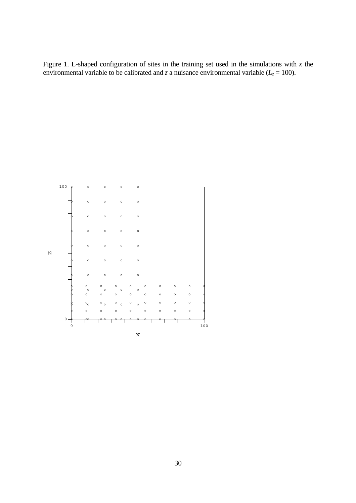Figure 1. L-shaped configuration of sites in the training set used in the simulations with  $x$  the environmental variable to be calibrated and *z* a nuisance environmental variable ( $L_z$  = 100).

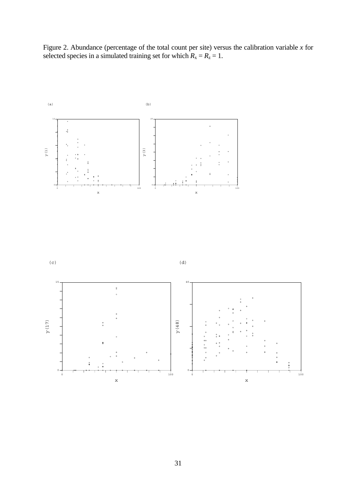Figure 2. Abundance (percentage of the total count per site) versus the calibration variable *x* for selected species in a simulated training set for which  $R_x = R_z = 1$ .



 $(c)$ 



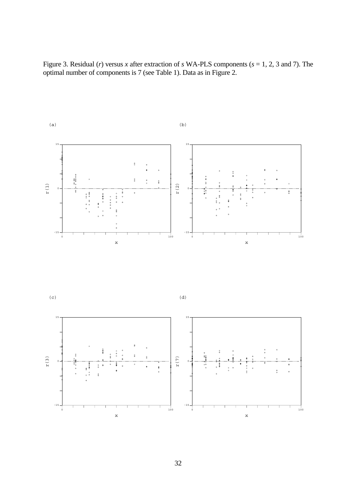Figure 3. Residual (*r*) versus *x* after extraction of *s* WA-PLS components (*s* = 1, 2, 3 and 7). The optimal number of components is 7 (see Table 1). Data as in Figure 2.



32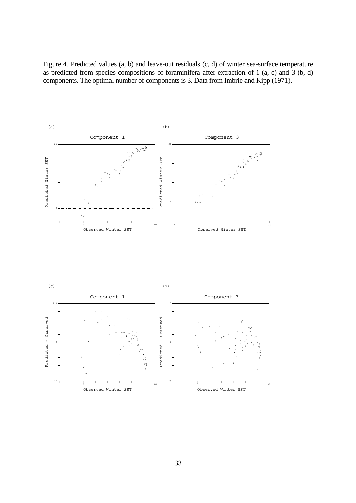Figure 4. Predicted values (a, b) and leave-out residuals (c, d) of winter sea-surface temperature as predicted from species compositions of foraminifera after extraction of 1 (a, c) and 3 (b, d) components. The optimal number of components is 3. Data from Imbrie and Kipp (1971).



![](_page_32_Figure_2.jpeg)